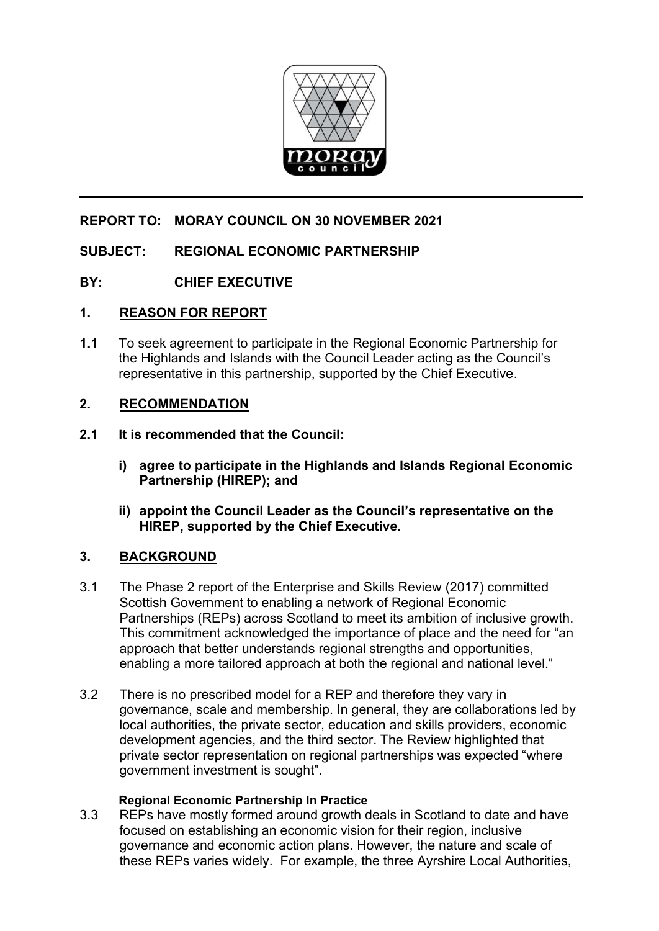

# **REPORT TO: MORAY COUNCIL ON 30 NOVEMBER 2021**

## **SUBJECT: REGIONAL ECONOMIC PARTNERSHIP**

## **BY: CHIEF EXECUTIVE**

### **1. REASON FOR REPORT**

**1.1** To seek agreement to participate in the Regional Economic Partnership for the Highlands and Islands with the Council Leader acting as the Council's representative in this partnership, supported by the Chief Executive.

### **2. RECOMMENDATION**

#### **2.1 It is recommended that the Council:**

- **i) agree to participate in the Highlands and Islands Regional Economic Partnership (HIREP); and**
- **ii) appoint the Council Leader as the Council's representative on the HIREP, supported by the Chief Executive.**

### **3. BACKGROUND**

- 3.1 The Phase 2 report of the Enterprise and Skills Review (2017) committed Scottish Government to enabling a network of Regional Economic Partnerships (REPs) across Scotland to meet its ambition of inclusive growth. This commitment acknowledged the importance of place and the need for "an approach that better understands regional strengths and opportunities, enabling a more tailored approach at both the regional and national level."
- 3.2 There is no prescribed model for a REP and therefore they vary in governance, scale and membership. In general, they are collaborations led by local authorities, the private sector, education and skills providers, economic development agencies, and the third sector. The Review highlighted that private sector representation on regional partnerships was expected "where government investment is sought".

#### **Regional Economic Partnership In Practice**

3.3 REPs have mostly formed around growth deals in Scotland to date and have focused on establishing an economic vision for their region, inclusive governance and economic action plans. However, the nature and scale of these REPs varies widely. For example, the three Ayrshire Local Authorities,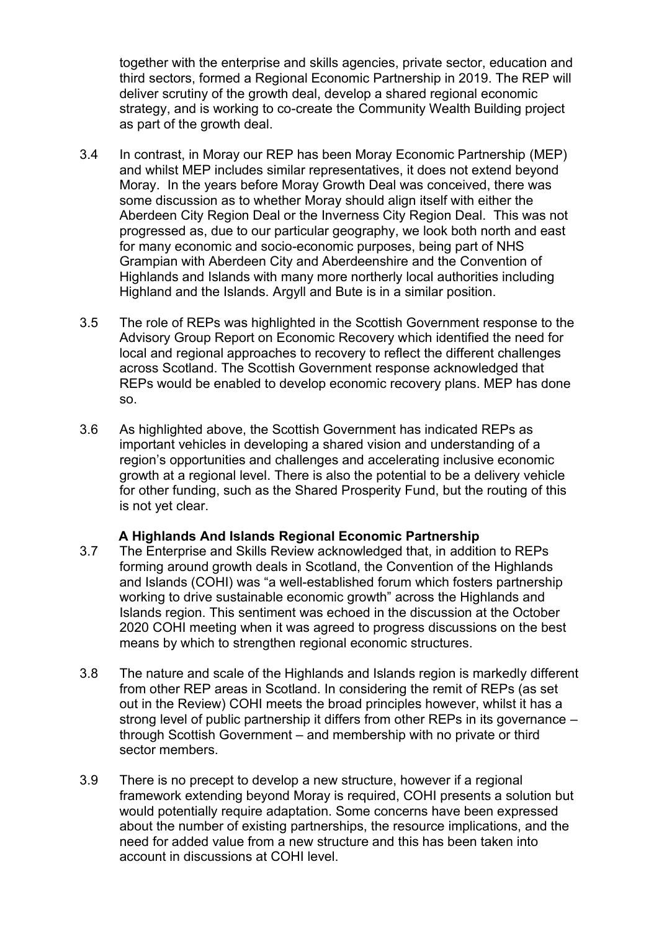together with the enterprise and skills agencies, private sector, education and third sectors, formed a Regional Economic Partnership in 2019. The REP will deliver scrutiny of the growth deal, develop a shared regional economic strategy, and is working to co-create the Community Wealth Building project as part of the growth deal.

- 3.4 In contrast, in Moray our REP has been Moray Economic Partnership (MEP) and whilst MEP includes similar representatives, it does not extend beyond Moray. In the years before Moray Growth Deal was conceived, there was some discussion as to whether Moray should align itself with either the Aberdeen City Region Deal or the Inverness City Region Deal. This was not progressed as, due to our particular geography, we look both north and east for many economic and socio-economic purposes, being part of NHS Grampian with Aberdeen City and Aberdeenshire and the Convention of Highlands and Islands with many more northerly local authorities including Highland and the Islands. Argyll and Bute is in a similar position.
- 3.5 The role of REPs was highlighted in the Scottish Government response to the Advisory Group Report on Economic Recovery which identified the need for local and regional approaches to recovery to reflect the different challenges across Scotland. The Scottish Government response acknowledged that REPs would be enabled to develop economic recovery plans. MEP has done so.
- 3.6 As highlighted above, the Scottish Government has indicated REPs as important vehicles in developing a shared vision and understanding of a region's opportunities and challenges and accelerating inclusive economic growth at a regional level. There is also the potential to be a delivery vehicle for other funding, such as the Shared Prosperity Fund, but the routing of this is not yet clear.

### **A Highlands And Islands Regional Economic Partnership**

- 3.7 The Enterprise and Skills Review acknowledged that, in addition to REPs forming around growth deals in Scotland, the Convention of the Highlands and Islands (COHI) was "a well-established forum which fosters partnership working to drive sustainable economic growth" across the Highlands and Islands region. This sentiment was echoed in the discussion at the October 2020 COHI meeting when it was agreed to progress discussions on the best means by which to strengthen regional economic structures.
- 3.8 The nature and scale of the Highlands and Islands region is markedly different from other REP areas in Scotland. In considering the remit of REPs (as set out in the Review) COHI meets the broad principles however, whilst it has a strong level of public partnership it differs from other REPs in its governance – through Scottish Government – and membership with no private or third sector members.
- 3.9 There is no precept to develop a new structure, however if a regional framework extending beyond Moray is required, COHI presents a solution but would potentially require adaptation. Some concerns have been expressed about the number of existing partnerships, the resource implications, and the need for added value from a new structure and this has been taken into account in discussions at COHI level.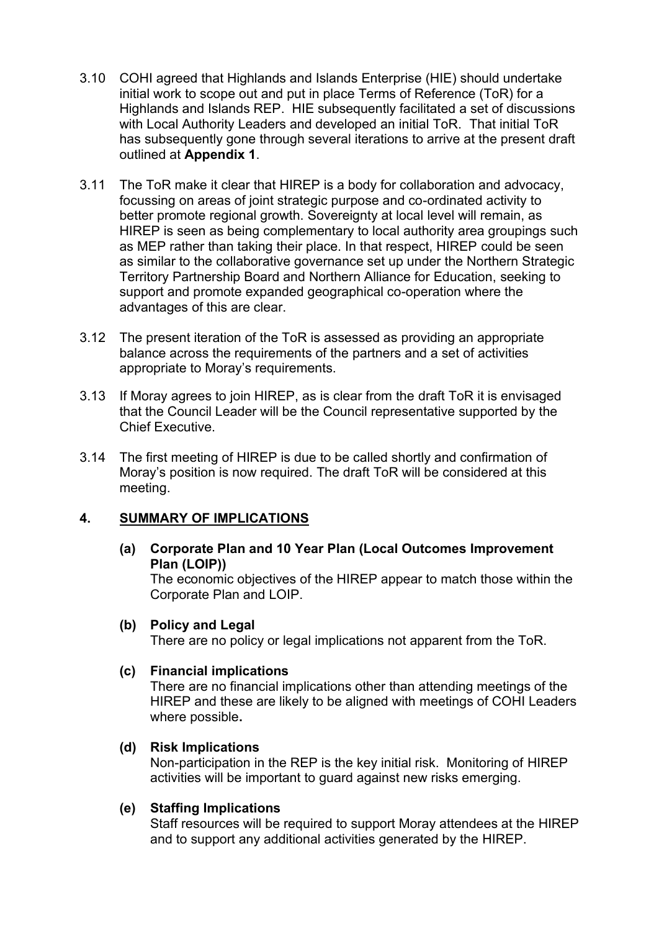- 3.10 COHI agreed that Highlands and Islands Enterprise (HIE) should undertake initial work to scope out and put in place Terms of Reference (ToR) for a Highlands and Islands REP. HIE subsequently facilitated a set of discussions with Local Authority Leaders and developed an initial ToR. That initial ToR has subsequently gone through several iterations to arrive at the present draft outlined at **Appendix 1**.
- 3.11 The ToR make it clear that HIREP is a body for collaboration and advocacy, focussing on areas of joint strategic purpose and co-ordinated activity to better promote regional growth. Sovereignty at local level will remain, as HIREP is seen as being complementary to local authority area groupings such as MEP rather than taking their place. In that respect, HIREP could be seen as similar to the collaborative governance set up under the Northern Strategic Territory Partnership Board and Northern Alliance for Education, seeking to support and promote expanded geographical co-operation where the advantages of this are clear.
- 3.12 The present iteration of the ToR is assessed as providing an appropriate balance across the requirements of the partners and a set of activities appropriate to Moray's requirements.
- 3.13 If Moray agrees to join HIREP, as is clear from the draft ToR it is envisaged that the Council Leader will be the Council representative supported by the Chief Executive.
- 3.14 The first meeting of HIREP is due to be called shortly and confirmation of Moray's position is now required. The draft ToR will be considered at this meeting.

### **4. SUMMARY OF IMPLICATIONS**

### **(a) Corporate Plan and 10 Year Plan (Local Outcomes Improvement Plan (LOIP))**

The economic objectives of the HIREP appear to match those within the Corporate Plan and LOIP.

### **(b) Policy and Legal**

There are no policy or legal implications not apparent from the ToR.

### **(c) Financial implications**

There are no financial implications other than attending meetings of the HIREP and these are likely to be aligned with meetings of COHI Leaders where possible**.** 

### **(d) Risk Implications**

Non-participation in the REP is the key initial risk. Monitoring of HIREP activities will be important to guard against new risks emerging.

### **(e) Staffing Implications**

Staff resources will be required to support Moray attendees at the HIREP and to support any additional activities generated by the HIREP.